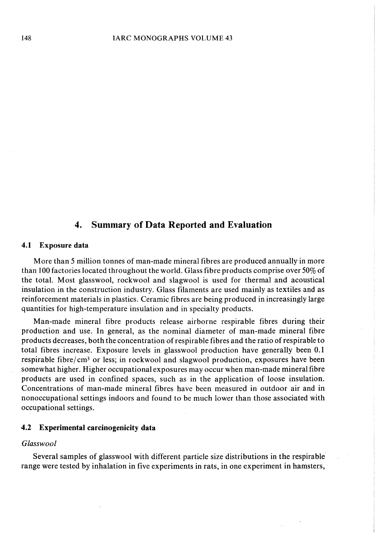## 4. Summary of Data Reported and Evaluation

#### 4.1 Exposure data

More than 5 million tonnes of man-made mineral fibres are produced annually in more than 100 factories located throughout the world. Glass fibre products comprise over 50% of the total. Most glasswool, rockwool and slagwool is used for thermal and acoustical insulation in the construction industry. Glass filaments are used mainly as textiles and as reinforcement materials in plastics. Ceramic fibres are being produced in increasingly large quantities for high-temperature insulation and in specialty products.

Man-made mineraI fibre products release airborne respirable fibres during their production and use. ln general, as the nominal diameter of man-made minerai fibre products decreases, both the concentration of respirable fibres and the ratio of respirable to total fibres increase. Exposure levels in glasswool production have generally been 0.1 respirable fibre/ cm<sup>3</sup> or less; in rockwool and slagwool production, exposures have been somewhat higher. Higher occupational exposures may occur when man-made mineraI fibre products are used in confined spaces, such as in the application of loose insulation. Concentrations of man-made mineraI fibres have been measured in outdoor air and in nonoccupational settings indoors and found to be much lower than those associated with occupational settings.

## 4.2 Experimental carcinogenicity data

## Glasswool

Several samples of glasswool with different particle size distributions in the respirable range were tested by inhalation in five experiments in rats, in one experiment in hamsters,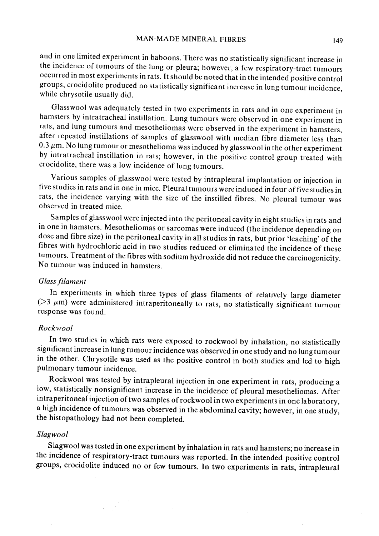and in one limited experiment in baboons. There was no statistically significant increase in the incidence of tumours of the lung or pleura; however, a few respiratory-tract tumours occurred in most experiments in rats. It should be noted that in the intended positive control groups, crocidolite produced no statistically significant increase in lung tumour incidence, while chrysotile usually did.

Glasswool was adequately tested in two experiments in rats and in one experiment in hamsters by intratracheal instillation. Lung tumours were observed in one experiment in rats, and lung tumours and mesotheliomas were observed in the experiment in hamsters, after repeated instillations of samples of glasswool with median fibre diameter less than  $0.3 \mu$ m. No lung tumour or mesothelioma was induced by glasswool in the other experiment by intratracheal instillation in rats; however, in the positive control group treated with crocidolite, there was a low incidence of lung tumours.

Various samples of glasswool were tested by intrapleural implantation or injection in five studies in rats and in one in mice. Pleural tumours were induced in four offive studies in rats, the incidence varying with the size of the instilled fibres. No pleural tumour was observed in treated mice.

Samplcs of glasswool were injected into the peritoneal cavity in eight studies in rats and in one in hamsters. Mesotheliomas or sarcomas were induced (the incidence depending on dose and fibre size) in the peritoneal cavity in aIl studies in rats, but prior 'leaching' of the fibres with hydrochloric acid in two studies reduced or eliminated the incidence of these tumours. Treatment of the fibres with sodium hydroxide did not reduce the carcinogenicity. No tumour was induced in hamsters.

### Glass filament

ln experiments in which three types of glass filaments of relatively large diameter ( $>3 \mu$ m) were administered intraperitoneally to rats, no statistically significant tumour response was found.

### Rockwool

In two studies in which rats were exposed to rockwool by inhalation, no statistically significant increase in lung tumour incidence was 0 bserved in one study and no lung tumour in the other. Chrysotile was used as the positive control in both studies and led to high pu1monary tumour incidence.

Rockwool was tested by intrapleural injection in one experiment in rats, producing a low, statistically nonsignificant increase in the incidence of pleural mesotheliomas. After intraperitoneal injection of two samples of rockwool in two experiments in one laboratory, a high incidence of tumours was observed in the abdominal cavity; however, in one study, the histopathology had not been completed.

### Slagwool

Slagwool was tested in one experiment by inhalation in rats and hamsters; no increase in the incidence of respiratory-tract tumours was reported. ln the intended positive control groups, crocidolite induced no or few tumours. ln two experiments in rats, intrapleural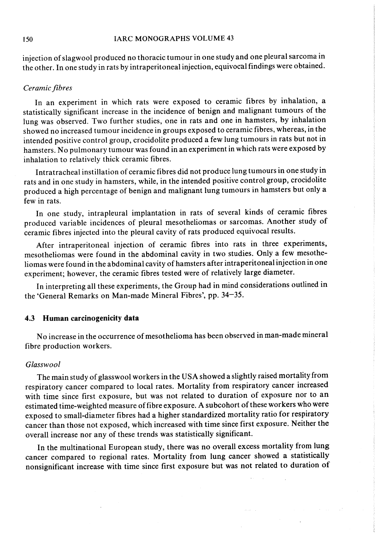### 150 IARC MONOGRAPHS VOLUME 43

injection of slagwool produced no thoracic tumour in one study and one pleural sarcoma in the other. ln one study in rats by intraperitoneal injection, equivocal findings were obtained.

## Ceramic fibres

ln an experiment in which rats were exposed to ceramic fibres by inhalation, a statistically significant increase in the incidence of benign and malignant tumours of the lung was observed. Two further studies, one in rats and one in hamsters, by inhalation showed no increased tumour incidence in groups exposed to ceramic fibres, whereas, in the intended positive control group, crocidolite produced a few lung tumours in rats but not in hamsters. No pulmonary tumour was found in an experiment in which rats were exposed by inhalation to relatively thick ceramic fibres.

Intratracheal instilation of ceramic fibres did not produce lung tumours in one study in rats and in one study in hamsters, while, in the intended positive control group, crocidolite produced a high percentage of benign and malignant lung tumours in hamsters but only a few in rats.

ln one study, intrapleural implantation in rats of several kinds of ceramic fibres produced variable incidences of pleural mesotheliomas or sarcomas. Another study of ceramic fibres injected into the pleural cavity of rats produced equivocal results.

After intraperitoneal injection of ceramic fibres into rats in three experiments, mesotheliomas were found in the abdominal cavity in two studies. Only a few mesotheliomas were found in the abdominal cavity of hamsters after intraperitoneal injection in one experiment; however, the ceramic fibres tested were of relatively large diameter.

ln interpreting all these experiments, the Group had in mind considerations outlined in the 'General Remarks on Man-made Mineral Fibres', pp. 34-35.

## 4.3 Human carcinogenicity data

No increase in the occurrence of mesothelioma has been observed in man-made mineraI fibre production workers.

#### Glasswool

The main study of glasswool workers in the USA showed a slightly raised mortality from respiratory cancer compared to local rates. Mortality from respiratory cancer increased with time since first exposure, but was not related to duration of exposure nor to an estimated time-weighted measure of fibre exposure. A subcohort of these workers who were exposed to small-diameter fibres had a higher standardized mortality ratio for respiratory cancer than those not exposed, which increased with time since first exposure. Neither the overall increase nor any of these trends was statistically significant.

ln the multinational European study, there was no overall excess mortality from lung cancer compared to regional rates. Mortality from lung cancer showed a statistically nonsignificant increase with time since first exposure but was not related to duration of

 $\mu$  , and  $\mu$  , and  $\mu$  , and  $\mu$  , and  $\mu$ 

 $\mathbf{L}$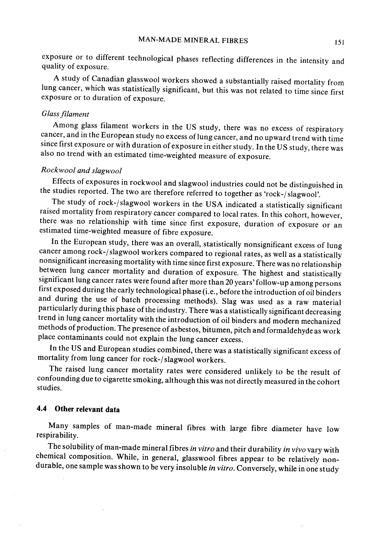exposure or to different technological phases reflecting differences in the intensity and quality of exposure.

A study of Canadian glasswool workers showed a substantially raised mortality from lung cancer, which was statistically significant, but this was not related to time since first exposure or to duration of exposure.

#### Glass filament

Among glass filament workers in the US study, there was no excess of respiratory cancer, and in the European study no excess of lung cancer, and no upward trend with time since first exposure or with duration of exposure in either study. ln the US study, there was also no trend with an estimated time-weighted measure of exposure.

# Rockwool and slagwool

Effects of exposures in rockwool and slagwool industries could not be distinguished in the studies reported. The two are therefore referred to together as 'rock-j slagwool'.

The study of rock-/slagwool workers in the USA indicated a statistically significant raised mortality from respiratory cancer compared to local rates. ln this cohort, however, there was no relationship with time since first exposure, duration of exposure or an estimated time-weighted measure of fibre exposure.

In the European study, there was an overall, statistically nonsignificant excess of lung cancer among rock-/slagwool workers compared to regional rates, as well as a statistically nonsignificant increasing mortality with time since first exposure. There was no relationship between lung cancer mortality and duration of exposure. The highest and statistically significant lung cancer rates were found after more than 20 years' follow-up among persons first exposed during the early technological phase (i.e., before the introduction of oil binders and during the use of batch processing methods). Slag was used as a raw material particularly during this phase of the industry. There was a statistically significant decreasing trend in lung cancer mortality with the introduction of oil binders and modern mechanized methods of production. The presence of asbestos, bitumen, pitch and formaldehyde as work place contaminants could not explain the' lung cancer excess.

In the US and European studies combined, there was a statistically significant excess of mortality from lung cancer for rock-/slagwool workers.

The raised lung cancer mortality rates were considered unlikely to be the result of confounding due to cigarette smoking, although this was not directly measured in the cohort studies.

## 4.4 Other relevant data

Many samples of man-made mineraI fibres with large fibre diameter have low respirability.

The solubility of man-made mineral fibres in vitro and their durability in vivo vary with chemical composition. While, in genera1, glasswool fibres appear to be relatively nondurable, one sample was shown to be very insoluble in vitro. Conversely, while in one study